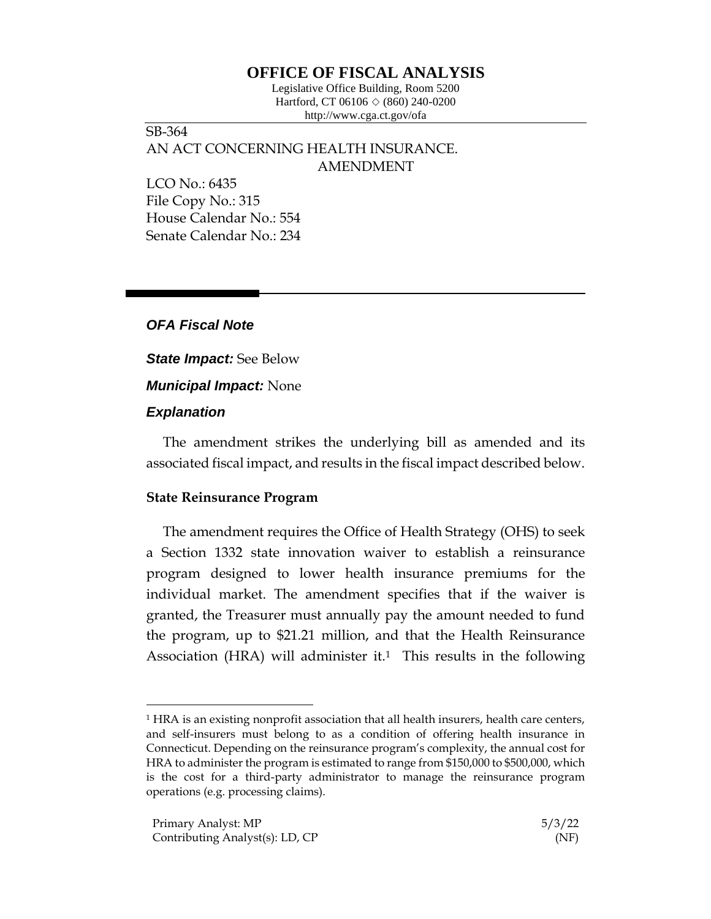# **OFFICE OF FISCAL ANALYSIS**

Legislative Office Building, Room 5200 Hartford, CT 06106  $\Diamond$  (860) 240-0200 http://www.cga.ct.gov/ofa

SB-364 AN ACT CONCERNING HEALTH INSURANCE. AMENDMENT

LCO No.: 6435 File Copy No.: 315 House Calendar No.: 554 Senate Calendar No.: 234

### *OFA Fiscal Note*

*State Impact:* See Below *Municipal Impact:* None

### *Explanation*

The amendment strikes the underlying bill as amended and its associated fiscal impact, and results in the fiscal impact described below.

## **State Reinsurance Program**

The amendment requires the Office of Health Strategy (OHS) to seek a Section 1332 state innovation waiver to establish a reinsurance program designed to lower health insurance premiums for the individual market. The amendment specifies that if the waiver is granted, the Treasurer must annually pay the amount needed to fund the program, up to \$21.21 million, and that the Health Reinsurance Association (HRA) will administer it.<sup>1</sup> This results in the following

<sup>1</sup> HRA is an existing nonprofit association that all health insurers, health care centers, and self-insurers must belong to as a condition of offering health insurance in Connecticut. Depending on the reinsurance program's complexity, the annual cost for HRA to administer the program is estimated to range from \$150,000 to \$500,000, which is the cost for a third-party administrator to manage the reinsurance program operations (e.g. processing claims).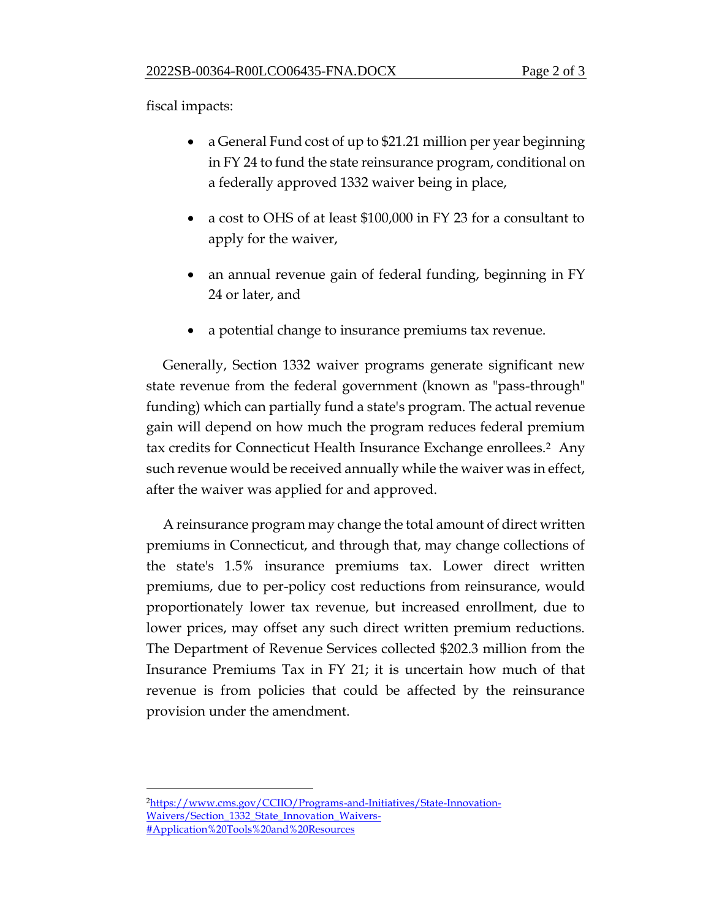fiscal impacts:

- a General Fund cost of up to \$21.21 million per year beginning in FY 24 to fund the state reinsurance program, conditional on a federally approved 1332 waiver being in place,
- a cost to OHS of at least \$100,000 in FY 23 for a consultant to apply for the waiver,
- an annual revenue gain of federal funding, beginning in FY 24 or later, and
- a potential change to insurance premiums tax revenue.

Generally, Section 1332 waiver programs generate significant new state revenue from the federal government (known as "pass-through" funding) which can partially fund a state's program. The actual revenue gain will depend on how much the program reduces federal premium tax credits for Connecticut Health Insurance Exchange enrollees.2 Any such revenue would be received annually while the waiver was in effect, after the waiver was applied for and approved.

A reinsurance program may change the total amount of direct written premiums in Connecticut, and through that, may change collections of the state's 1.5% insurance premiums tax. Lower direct written premiums, due to per-policy cost reductions from reinsurance, would proportionately lower tax revenue, but increased enrollment, due to lower prices, may offset any such direct written premium reductions. The Department of Revenue Services collected \$202.3 million from the Insurance Premiums Tax in FY 21; it is uncertain how much of that revenue is from policies that could be affected by the reinsurance provision under the amendment.

<sup>2</sup>[https://www.cms.gov/CCIIO/Programs-and-Initiatives/State-Innovation-](https://www.cms.gov/CCIIO/Programs-and-Initiatives/State-Innovation-Waivers/Section_1332_State_Innovation_Waivers-#Application%20Tools%20and%20Resources)[Waivers/Section\\_1332\\_State\\_Innovation\\_Waivers-](https://www.cms.gov/CCIIO/Programs-and-Initiatives/State-Innovation-Waivers/Section_1332_State_Innovation_Waivers-#Application%20Tools%20and%20Resources) [#Application%20Tools%20and%20Resources](https://www.cms.gov/CCIIO/Programs-and-Initiatives/State-Innovation-Waivers/Section_1332_State_Innovation_Waivers-#Application%20Tools%20and%20Resources)